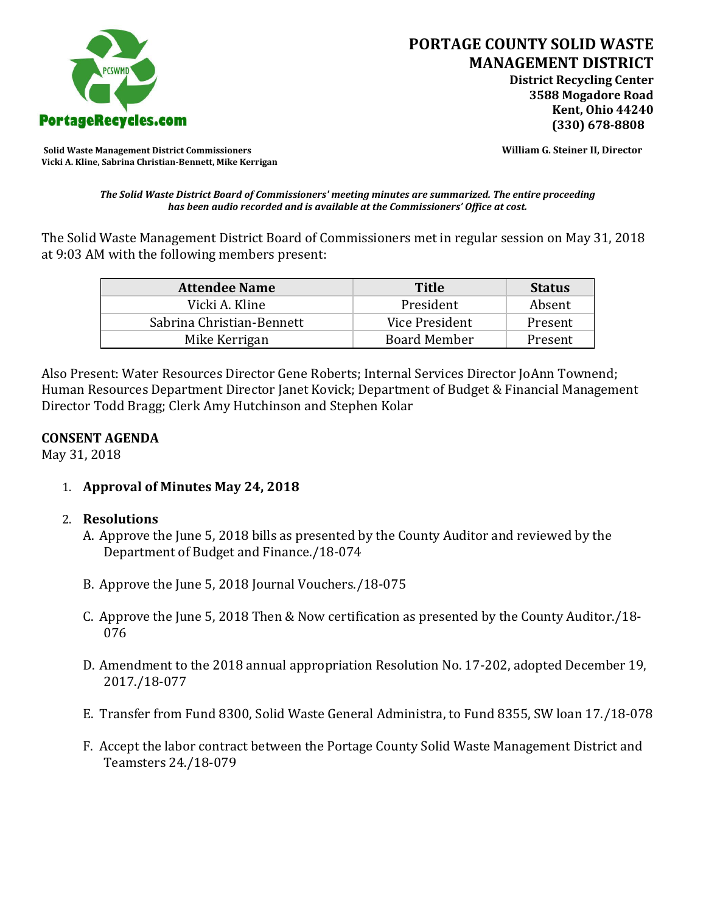

**Solid Waste Management District Commissioners William G. Steiner II, Director Vicki A. Kline, Sabrina Christian-Bennett, Mike Kerrigan** 

*The Solid Waste District Board of Commissioners' meeting minutes are summarized. The entire proceeding has been audio recorded and is available at the Commissioners' Office at cost.*

The Solid Waste Management District Board of Commissioners met in regular session on May 31, 2018 at 9:03 AM with the following members present:

| <b>Attendee Name</b>      | <b>Title</b>        | <b>Status</b> |
|---------------------------|---------------------|---------------|
| Vicki A. Kline            | President           | Absent        |
| Sabrina Christian-Bennett | Vice President      | Present       |
| Mike Kerrigan             | <b>Board Member</b> | Present       |

Also Present: Water Resources Director Gene Roberts; Internal Services Director JoAnn Townend; Human Resources Department Director Janet Kovick; Department of Budget & Financial Management Director Todd Bragg; Clerk Amy Hutchinson and Stephen Kolar

## **CONSENT AGENDA**

May 31, 2018

1. **Approval of Minutes May 24, 2018**

## 2. **Resolutions**

- A. Approve the June 5, 2018 bills as presented by the County Auditor and reviewed by the Department of Budget and Finance./18-074
- B. Approve the June 5, 2018 Journal Vouchers./18-075
- C. Approve the June 5, 2018 Then & Now certification as presented by the County Auditor./18- 076
- D. Amendment to the 2018 annual appropriation Resolution No. 17-202, adopted December 19, 2017./18-077
- E. Transfer from Fund 8300, Solid Waste General Administra, to Fund 8355, SW loan 17./18-078
- F. Accept the labor contract between the Portage County Solid Waste Management District and Teamsters 24./18-079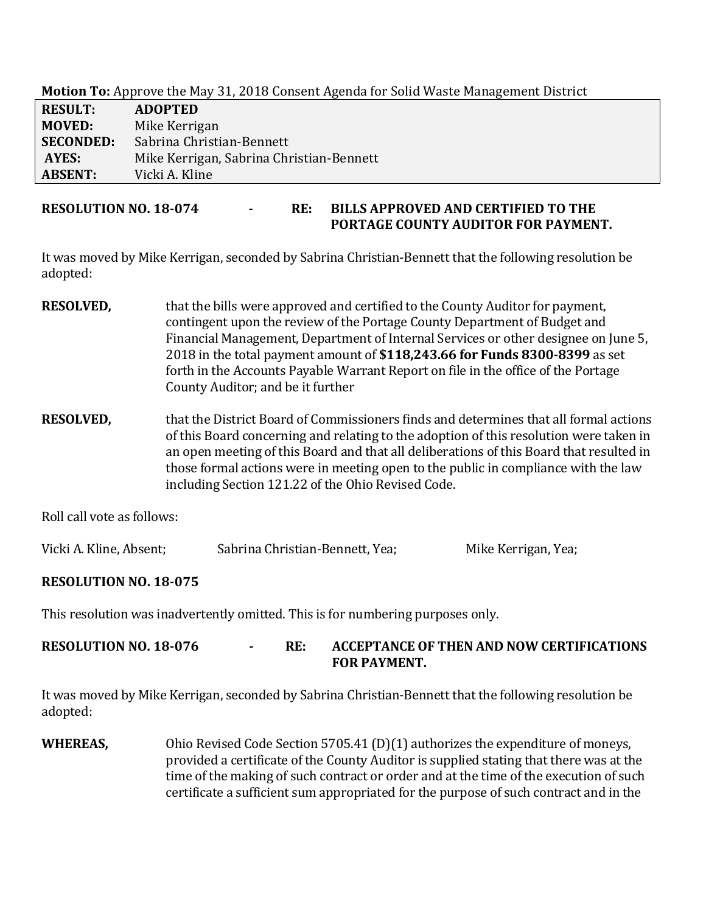**Motion To:** Approve the May 31, 2018 Consent Agenda for Solid Waste Management District

| <b>RESULT:</b>   | <b>ADOPTED</b>                           |
|------------------|------------------------------------------|
| <b>MOVED:</b>    | Mike Kerrigan                            |
| <b>SECONDED:</b> | Sabrina Christian-Bennett                |
| AYES:            | Mike Kerrigan, Sabrina Christian-Bennett |
| <b>ABSENT:</b>   | Vicki A. Kline                           |

## **RESOLUTION NO. 18-074 - RE: BILLS APPROVED AND CERTIFIED TO THE PORTAGE COUNTY AUDITOR FOR PAYMENT.**

It was moved by Mike Kerrigan, seconded by Sabrina Christian-Bennett that the following resolution be adopted:

- **RESOLVED,** that the bills were approved and certified to the County Auditor for payment, contingent upon the review of the Portage County Department of Budget and Financial Management, Department of Internal Services or other designee on June 5, 2018 in the total payment amount of **\$118,243.66 for Funds 8300-8399** as set forth in the Accounts Payable Warrant Report on file in the office of the Portage County Auditor; and be it further
- **RESOLVED,** that the District Board of Commissioners finds and determines that all formal actions of this Board concerning and relating to the adoption of this resolution were taken in an open meeting of this Board and that all deliberations of this Board that resulted in those formal actions were in meeting open to the public in compliance with the law including Section 121.22 of the Ohio Revised Code.

Roll call vote as follows:

| Vicki A. Kline, Absent; | Sabrina Christian-Bennett, Yea; | Mike Kerrigan, Yea; |
|-------------------------|---------------------------------|---------------------|
|-------------------------|---------------------------------|---------------------|

## **RESOLUTION NO. 18-075**

This resolution was inadvertently omitted. This is for numbering purposes only.

**RESOLUTION NO. 18-076 - RE: ACCEPTANCE OF THEN AND NOW CERTIFICATIONS FOR PAYMENT.**

It was moved by Mike Kerrigan, seconded by Sabrina Christian-Bennett that the following resolution be adopted:

**WHEREAS,** Ohio Revised Code Section 5705.41 (D)(1) authorizes the expenditure of moneys, provided a certificate of the County Auditor is supplied stating that there was at the time of the making of such contract or order and at the time of the execution of such certificate a sufficient sum appropriated for the purpose of such contract and in the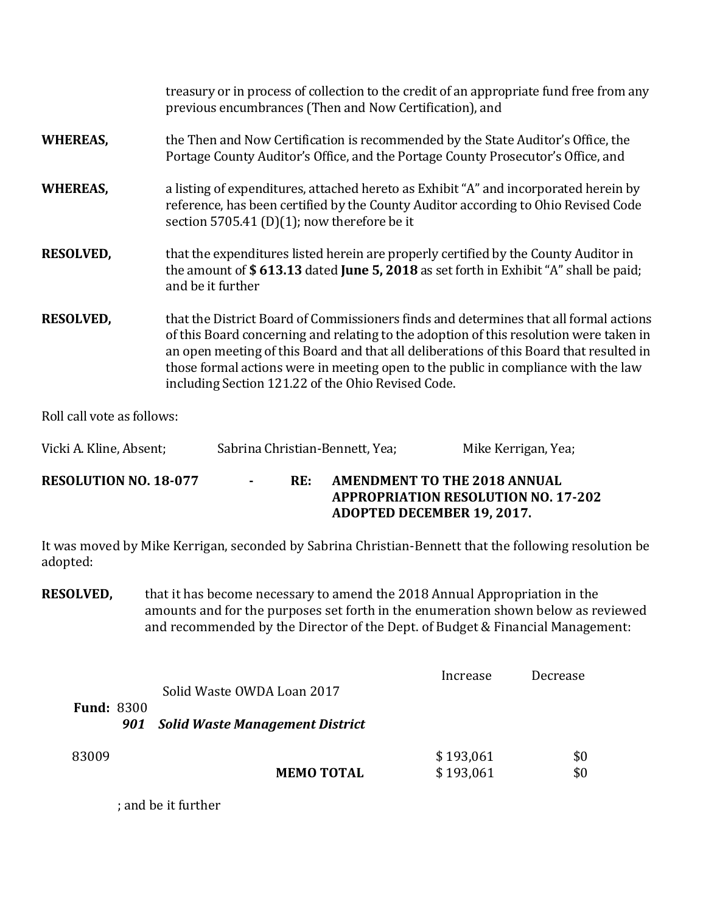|                  | treasury or in process of collection to the credit of an appropriate fund free from any<br>previous encumbrances (Then and Now Certification), and                                                                                                                                                                                                                                                                     |
|------------------|------------------------------------------------------------------------------------------------------------------------------------------------------------------------------------------------------------------------------------------------------------------------------------------------------------------------------------------------------------------------------------------------------------------------|
| <b>WHEREAS,</b>  | the Then and Now Certification is recommended by the State Auditor's Office, the<br>Portage County Auditor's Office, and the Portage County Prosecutor's Office, and                                                                                                                                                                                                                                                   |
| <b>WHEREAS,</b>  | a listing of expenditures, attached hereto as Exhibit "A" and incorporated herein by<br>reference, has been certified by the County Auditor according to Ohio Revised Code<br>section 5705.41 (D)(1); now therefore be it                                                                                                                                                                                              |
| <b>RESOLVED,</b> | that the expenditures listed herein are properly certified by the County Auditor in<br>the amount of \$613.13 dated June 5, 2018 as set forth in Exhibit "A" shall be paid;<br>and be it further                                                                                                                                                                                                                       |
| <b>RESOLVED,</b> | that the District Board of Commissioners finds and determines that all formal actions<br>of this Board concerning and relating to the adoption of this resolution were taken in<br>an open meeting of this Board and that all deliberations of this Board that resulted in<br>those formal actions were in meeting open to the public in compliance with the law<br>including Section 121.22 of the Ohio Revised Code. |

Roll call vote as follows:

| Vicki A. Kline, Absent;      | Sabrina Christian-Bennett, Yea; |     |  | Mike Kerrigan, Yea;                                                                                             |
|------------------------------|---------------------------------|-----|--|-----------------------------------------------------------------------------------------------------------------|
| <b>RESOLUTION NO. 18-077</b> | $\sim$                          | RE: |  | AMENDMENT TO THE 2018 ANNUAL<br><b>APPROPRIATION RESOLUTION NO. 17-202</b><br><b>ADOPTED DECEMBER 19, 2017.</b> |

It was moved by Mike Kerrigan, seconded by Sabrina Christian-Bennett that the following resolution be adopted:

**RESOLVED,** that it has become necessary to amend the 2018 Annual Appropriation in the amounts and for the purposes set forth in the enumeration shown below as reviewed and recommended by the Director of the Dept. of Budget & Financial Management:

|                          | Solid Waste OWDA Loan 2017             | Increase               | Decrease   |
|--------------------------|----------------------------------------|------------------------|------------|
| <b>Fund: 8300</b><br>901 | <b>Solid Waste Management District</b> |                        |            |
| 83009                    | <b>MEMO TOTAL</b>                      | \$193,061<br>\$193,061 | \$0<br>\$0 |

; and be it further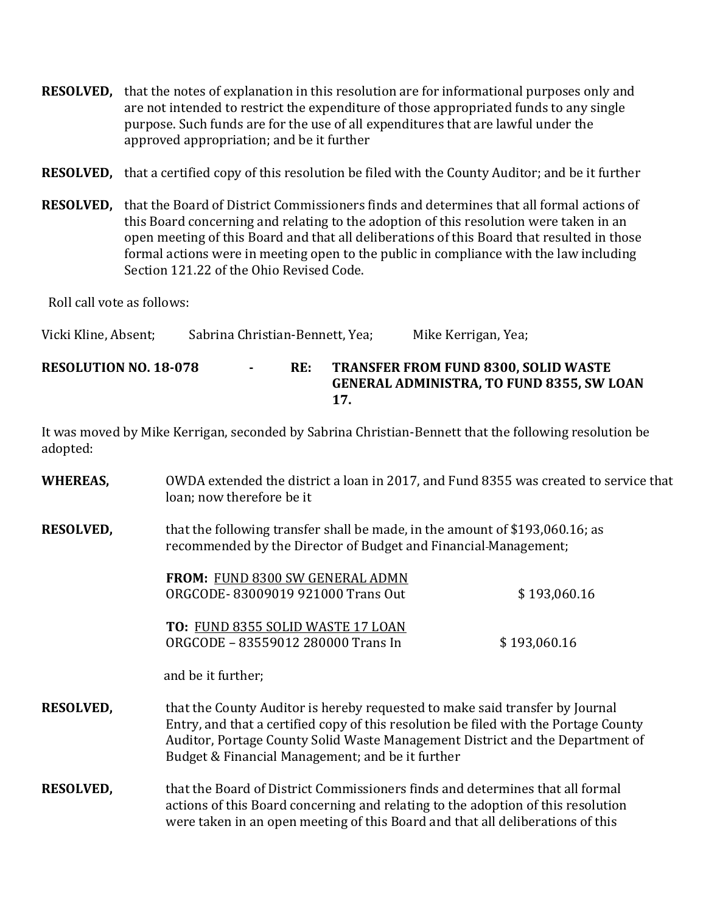**RESOLVED,** that the notes of explanation in this resolution are for informational purposes only and are not intended to restrict the expenditure of those appropriated funds to any single purpose. Such funds are for the use of all expenditures that are lawful under the approved appropriation; and be it further

**RESOLVED,** that a certified copy of this resolution be filed with the County Auditor; and be it further

**RESOLVED,** that the Board of District Commissioners finds and determines that all formal actions of this Board concerning and relating to the adoption of this resolution were taken in an open meeting of this Board and that all deliberations of this Board that resulted in those formal actions were in meeting open to the public in compliance with the law including Section 121.22 of the Ohio Revised Code.

Roll call vote as follows:

Vicki Kline, Absent; Sabrina Christian-Bennett, Yea; Mike Kerrigan, Yea;

**RESOLUTION NO. 18-078 - RE: TRANSFER FROM FUND 8300, SOLID WASTE GENERAL ADMINISTRA, TO FUND 8355, SW LOAN 17.**

It was moved by Mike Kerrigan, seconded by Sabrina Christian-Bennett that the following resolution be adopted:

| <b>WHEREAS,</b>  | OWDA extended the district a loan in 2017, and Fund 8355 was created to service that<br>loan; now therefore be it                                                                                                                                                                                         |              |
|------------------|-----------------------------------------------------------------------------------------------------------------------------------------------------------------------------------------------------------------------------------------------------------------------------------------------------------|--------------|
| <b>RESOLVED,</b> | that the following transfer shall be made, in the amount of \$193,060.16; as<br>recommended by the Director of Budget and Financial-Management;                                                                                                                                                           |              |
|                  | <b>FROM: FUND 8300 SW GENERAL ADMN</b><br>ORGCODE-83009019 921000 Trans Out                                                                                                                                                                                                                               | \$193,060.16 |
|                  | TO: FUND 8355 SOLID WASTE 17 LOAN<br>ORGCODE - 83559012 280000 Trans In                                                                                                                                                                                                                                   | \$193,060.16 |
|                  | and be it further;                                                                                                                                                                                                                                                                                        |              |
| <b>RESOLVED,</b> | that the County Auditor is hereby requested to make said transfer by Journal<br>Entry, and that a certified copy of this resolution be filed with the Portage County<br>Auditor, Portage County Solid Waste Management District and the Department of<br>Budget & Financial Management; and be it further |              |
| <b>RESOLVED,</b> | that the Board of District Commissioners finds and determines that all formal<br>actions of this Board concerning and relating to the adoption of this resolution<br>were taken in an open meeting of this Board and that all deliberations of this                                                       |              |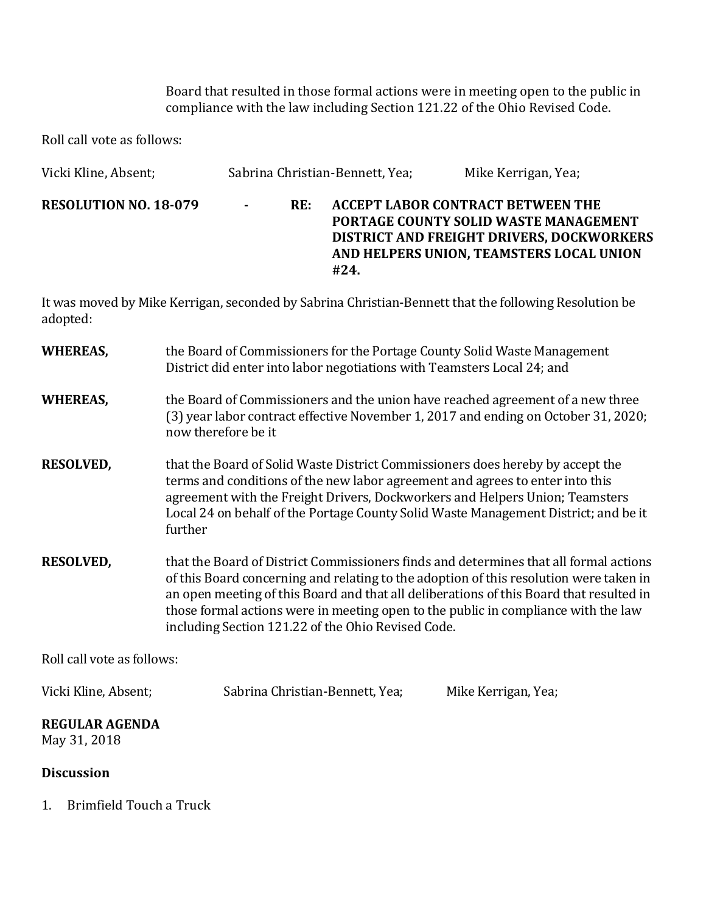Board that resulted in those formal actions were in meeting open to the public in compliance with the law including Section 121.22 of the Ohio Revised Code.

Roll call vote as follows:

| Vicki Kline, Absent;         |                |     | Sabrina Christian-Bennett, Yea; | Mike Kerrigan, Yea;                                                                                                                                                        |
|------------------------------|----------------|-----|---------------------------------|----------------------------------------------------------------------------------------------------------------------------------------------------------------------------|
| <b>RESOLUTION NO. 18-079</b> | $\blacksquare$ | RE: | #24.                            | ACCEPT LABOR CONTRACT BETWEEN THE<br>PORTAGE COUNTY SOLID WASTE MANAGEMENT<br><b>DISTRICT AND FREIGHT DRIVERS, DOCKWORKERS</b><br>AND HELPERS UNION, TEAMSTERS LOCAL UNION |

It was moved by Mike Kerrigan, seconded by Sabrina Christian-Bennett that the following Resolution be adopted:

| <b>WHEREAS,</b>                       | the Board of Commissioners for the Portage County Solid Waste Management<br>District did enter into labor negotiations with Teamsters Local 24; and                                                                                                                                                                                                                                                                    |  |  |
|---------------------------------------|------------------------------------------------------------------------------------------------------------------------------------------------------------------------------------------------------------------------------------------------------------------------------------------------------------------------------------------------------------------------------------------------------------------------|--|--|
| <b>WHEREAS,</b>                       | the Board of Commissioners and the union have reached agreement of a new three<br>(3) year labor contract effective November 1, 2017 and ending on October 31, 2020;<br>now therefore be it                                                                                                                                                                                                                            |  |  |
| <b>RESOLVED,</b>                      | that the Board of Solid Waste District Commissioners does hereby by accept the<br>terms and conditions of the new labor agreement and agrees to enter into this<br>agreement with the Freight Drivers, Dockworkers and Helpers Union; Teamsters<br>Local 24 on behalf of the Portage County Solid Waste Management District; and be it<br>further                                                                      |  |  |
| <b>RESOLVED,</b>                      | that the Board of District Commissioners finds and determines that all formal actions<br>of this Board concerning and relating to the adoption of this resolution were taken in<br>an open meeting of this Board and that all deliberations of this Board that resulted in<br>those formal actions were in meeting open to the public in compliance with the law<br>including Section 121.22 of the Ohio Revised Code. |  |  |
| Roll call vote as follows:            |                                                                                                                                                                                                                                                                                                                                                                                                                        |  |  |
| Vicki Kline, Absent;                  | Sabrina Christian-Bennett, Yea;<br>Mike Kerrigan, Yea;                                                                                                                                                                                                                                                                                                                                                                 |  |  |
| <b>REGULAR AGENDA</b><br>May 31, 2018 |                                                                                                                                                                                                                                                                                                                                                                                                                        |  |  |
| <b>Discussion</b>                     |                                                                                                                                                                                                                                                                                                                                                                                                                        |  |  |

1. Brimfield Touch a Truck